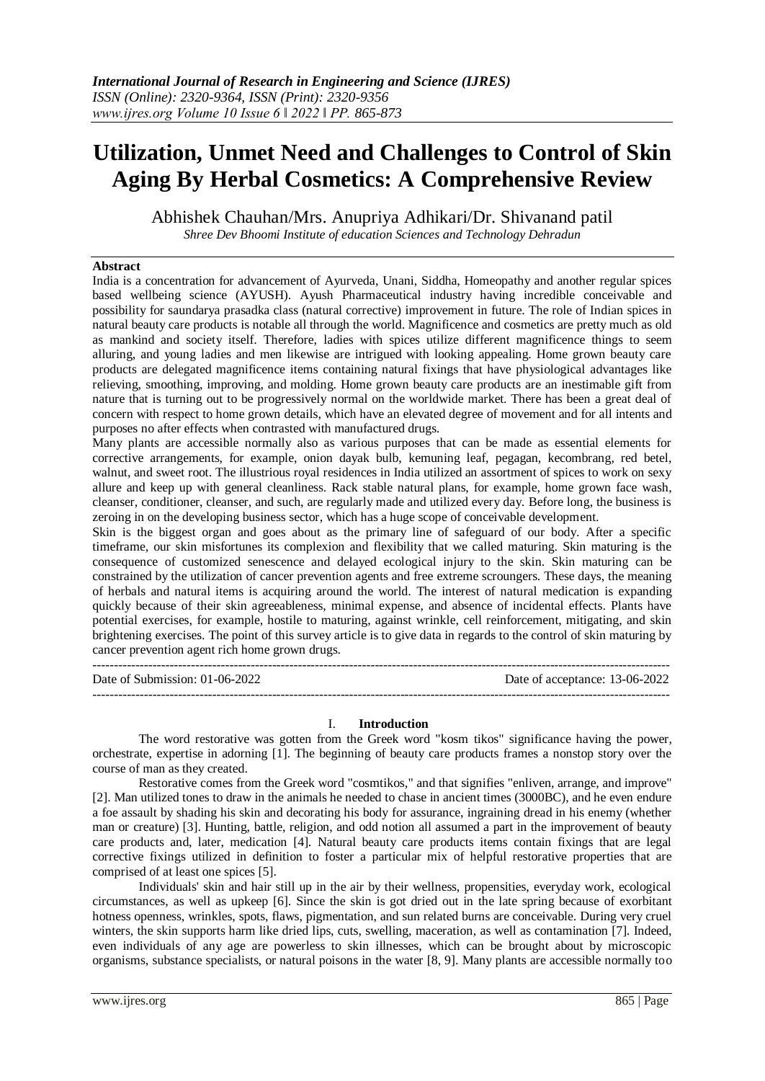# **Utilization, Unmet Need and Challenges to Control of Skin Aging By Herbal Cosmetics: A Comprehensive Review**

Abhishek Chauhan/Mrs. Anupriya Adhikari/Dr. Shivanand patil

*Shree Dev Bhoomi Institute of education Sciences and Technology Dehradun*

## **Abstract**

India is a concentration for advancement of Ayurveda, Unani, Siddha, Homeopathy and another regular spices based wellbeing science (AYUSH). Ayush Pharmaceutical industry having incredible conceivable and possibility for saundarya prasadka class (natural corrective) improvement in future. The role of Indian spices in natural beauty care products is notable all through the world. Magnificence and cosmetics are pretty much as old as mankind and society itself. Therefore, ladies with spices utilize different magnificence things to seem alluring, and young ladies and men likewise are intrigued with looking appealing. Home grown beauty care products are delegated magnificence items containing natural fixings that have physiological advantages like relieving, smoothing, improving, and molding. Home grown beauty care products are an inestimable gift from nature that is turning out to be progressively normal on the worldwide market. There has been a great deal of concern with respect to home grown details, which have an elevated degree of movement and for all intents and purposes no after effects when contrasted with manufactured drugs.

Many plants are accessible normally also as various purposes that can be made as essential elements for corrective arrangements, for example, onion dayak bulb, kemuning leaf, pegagan, kecombrang, red betel, walnut, and sweet root. The illustrious royal residences in India utilized an assortment of spices to work on sexy allure and keep up with general cleanliness. Rack stable natural plans, for example, home grown face wash, cleanser, conditioner, cleanser, and such, are regularly made and utilized every day. Before long, the business is zeroing in on the developing business sector, which has a huge scope of conceivable development.

Skin is the biggest organ and goes about as the primary line of safeguard of our body. After a specific timeframe, our skin misfortunes its complexion and flexibility that we called maturing. Skin maturing is the consequence of customized senescence and delayed ecological injury to the skin. Skin maturing can be constrained by the utilization of cancer prevention agents and free extreme scroungers. These days, the meaning of herbals and natural items is acquiring around the world. The interest of natural medication is expanding quickly because of their skin agreeableness, minimal expense, and absence of incidental effects. Plants have potential exercises, for example, hostile to maturing, against wrinkle, cell reinforcement, mitigating, and skin brightening exercises. The point of this survey article is to give data in regards to the control of skin maturing by cancer prevention agent rich home grown drugs.

| Date of Submission: $01-06-2022$ | Date of acceptance: 13-06-2022 |
|----------------------------------|--------------------------------|
|                                  |                                |

## I. **Introduction**

The word restorative was gotten from the Greek word "kosm tikos" significance having the power, orchestrate, expertise in adorning [1]. The beginning of beauty care products frames a nonstop story over the course of man as they created.

Restorative comes from the Greek word "cosmtikos," and that signifies "enliven, arrange, and improve" [2]. Man utilized tones to draw in the animals he needed to chase in ancient times (3000BC), and he even endure a foe assault by shading his skin and decorating his body for assurance, ingraining dread in his enemy (whether man or creature) [3]. Hunting, battle, religion, and odd notion all assumed a part in the improvement of beauty care products and, later, medication [4]. Natural beauty care products items contain fixings that are legal corrective fixings utilized in definition to foster a particular mix of helpful restorative properties that are comprised of at least one spices [5].

Individuals' skin and hair still up in the air by their wellness, propensities, everyday work, ecological circumstances, as well as upkeep [6]. Since the skin is got dried out in the late spring because of exorbitant hotness openness, wrinkles, spots, flaws, pigmentation, and sun related burns are conceivable. During very cruel winters, the skin supports harm like dried lips, cuts, swelling, maceration, as well as contamination [7]. Indeed, even individuals of any age are powerless to skin illnesses, which can be brought about by microscopic organisms, substance specialists, or natural poisons in the water [8, 9]. Many plants are accessible normally too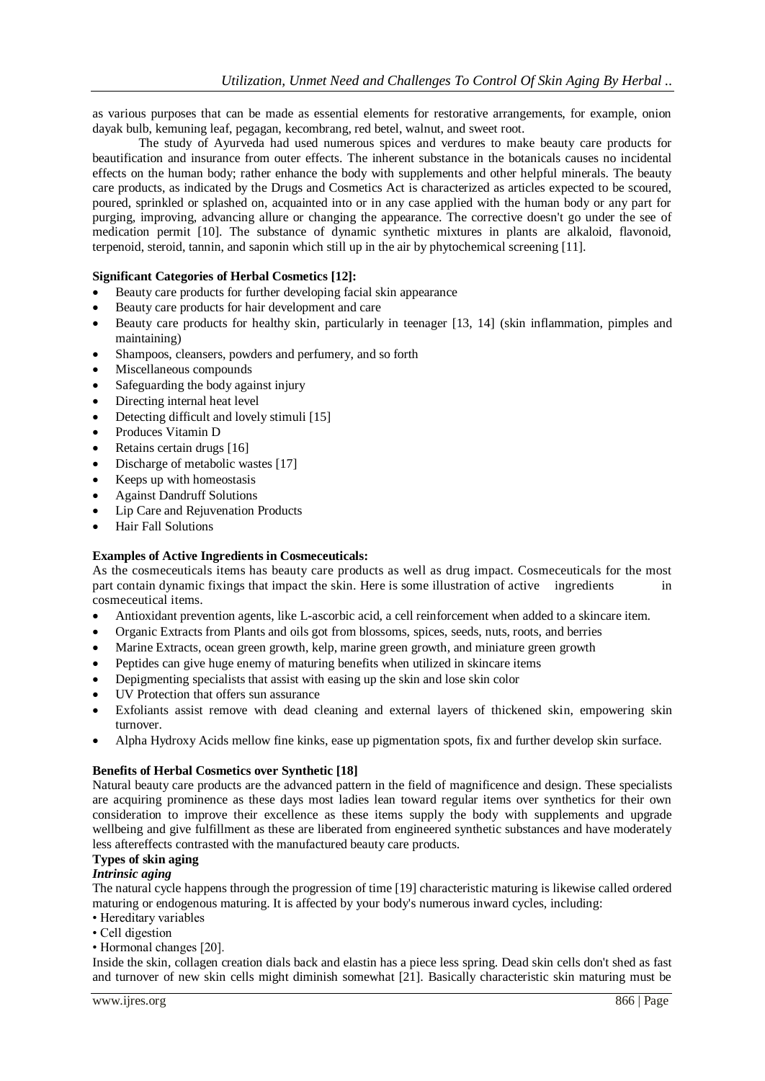as various purposes that can be made as essential elements for restorative arrangements, for example, onion dayak bulb, kemuning leaf, pegagan, kecombrang, red betel, walnut, and sweet root.

The study of Ayurveda had used numerous spices and verdures to make beauty care products for beautification and insurance from outer effects. The inherent substance in the botanicals causes no incidental effects on the human body; rather enhance the body with supplements and other helpful minerals. The beauty care products, as indicated by the Drugs and Cosmetics Act is characterized as articles expected to be scoured, poured, sprinkled or splashed on, acquainted into or in any case applied with the human body or any part for purging, improving, advancing allure or changing the appearance. The corrective doesn't go under the see of medication permit [10]. The substance of dynamic synthetic mixtures in plants are alkaloid, flavonoid, terpenoid, steroid, tannin, and saponin which still up in the air by phytochemical screening [11].

## **Significant Categories of Herbal Cosmetics [12]:**

- Beauty care products for further developing facial skin appearance
- Beauty care products for hair development and care
- Beauty care products for healthy skin, particularly in teenager [13, 14] (skin inflammation, pimples and maintaining)
- Shampoos, cleansers, powders and perfumery, and so forth
- Miscellaneous compounds
- Safeguarding the body against injury
- Directing internal heat level
- Detecting difficult and lovely stimuli [15]
- Produces Vitamin D
- Retains certain drugs [16]
- Discharge of metabolic wastes [17]
- Keeps up with homeostasis
- Against Dandruff Solutions
- Lip Care and Rejuvenation Products
- Hair Fall Solutions

## **Examples of Active Ingredients in Cosmeceuticals:**

As the cosmeceuticals items has beauty care products as well as drug impact. Cosmeceuticals for the most part contain dynamic fixings that impact the skin. Here is some illustration of active ingredients in cosmeceutical items.

- Antioxidant prevention agents, like L-ascorbic acid, a cell reinforcement when added to a skincare item.
- Organic Extracts from Plants and oils got from blossoms, spices, seeds, nuts, roots, and berries
- Marine Extracts, ocean green growth, kelp, marine green growth, and miniature green growth
- Peptides can give huge enemy of maturing benefits when utilized in skincare items
- Depigmenting specialists that assist with easing up the skin and lose skin color
- UV Protection that offers sun assurance
- Exfoliants assist remove with dead cleaning and external layers of thickened skin, empowering skin turnover.
- Alpha Hydroxy Acids mellow fine kinks, ease up pigmentation spots, fix and further develop skin surface.

## **Benefits of Herbal Cosmetics over Synthetic [18]**

Natural beauty care products are the advanced pattern in the field of magnificence and design. These specialists are acquiring prominence as these days most ladies lean toward regular items over synthetics for their own consideration to improve their excellence as these items supply the body with supplements and upgrade wellbeing and give fulfillment as these are liberated from engineered synthetic substances and have moderately less aftereffects contrasted with the manufactured beauty care products.

## **Types of skin aging**

## *Intrinsic aging*

The natural cycle happens through the progression of time [19] characteristic maturing is likewise called ordered maturing or endogenous maturing. It is affected by your body's numerous inward cycles, including:

- Hereditary variables
- Cell digestion
- Hormonal changes [20].

Inside the skin, collagen creation dials back and elastin has a piece less spring. Dead skin cells don't shed as fast and turnover of new skin cells might diminish somewhat [21]. Basically characteristic skin maturing must be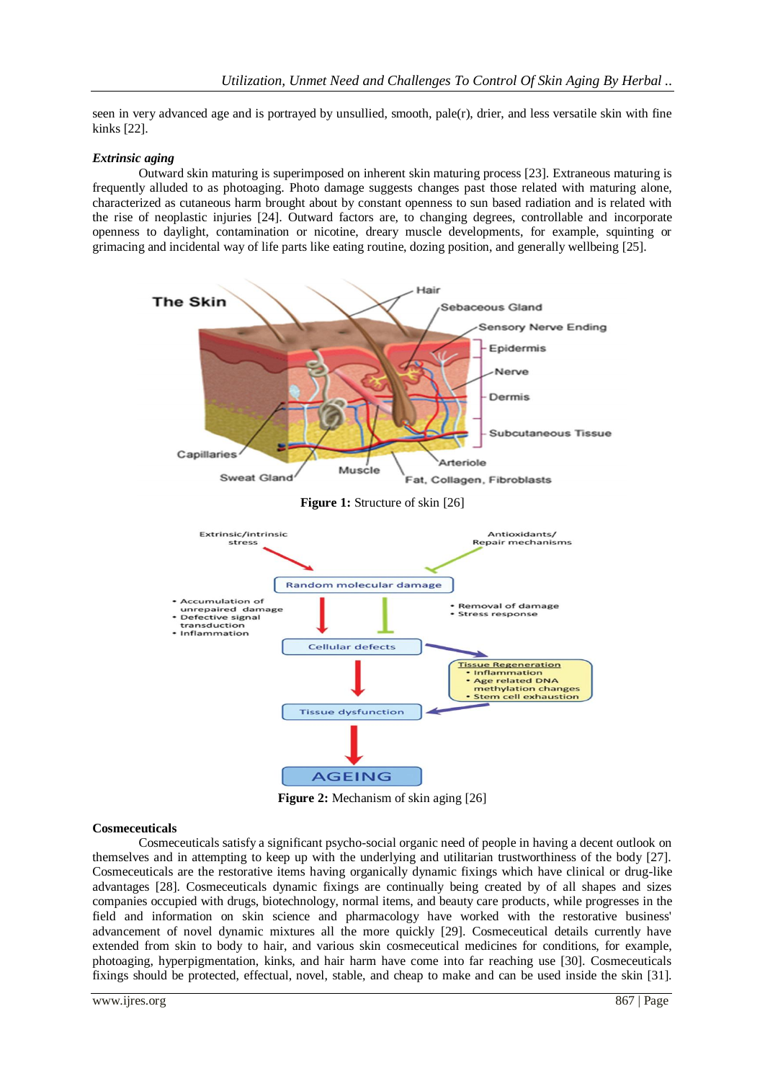seen in very advanced age and is portrayed by unsullied, smooth, pale(r), drier, and less versatile skin with fine kinks [22].

## *Extrinsic aging*

Outward skin maturing is superimposed on inherent skin maturing process [23]. Extraneous maturing is frequently alluded to as photoaging. Photo damage suggests changes past those related with maturing alone, characterized as cutaneous harm brought about by constant openness to sun based radiation and is related with the rise of neoplastic injuries [24]. Outward factors are, to changing degrees, controllable and incorporate openness to daylight, contamination or nicotine, dreary muscle developments, for example, squinting or grimacing and incidental way of life parts like eating routine, dozing position, and generally wellbeing [25].



**Figure 2:** Mechanism of skin aging [26]

#### **Cosmeceuticals**

Cosmeceuticals satisfy a significant psycho-social organic need of people in having a decent outlook on themselves and in attempting to keep up with the underlying and utilitarian trustworthiness of the body [27]. Cosmeceuticals are the restorative items having organically dynamic fixings which have clinical or drug-like advantages [28]. Cosmeceuticals dynamic fixings are continually being created by of all shapes and sizes companies occupied with drugs, biotechnology, normal items, and beauty care products, while progresses in the field and information on skin science and pharmacology have worked with the restorative business' advancement of novel dynamic mixtures all the more quickly [29]. Cosmeceutical details currently have extended from skin to body to hair, and various skin cosmeceutical medicines for conditions, for example, photoaging, hyperpigmentation, kinks, and hair harm have come into far reaching use [30]. Cosmeceuticals fixings should be protected, effectual, novel, stable, and cheap to make and can be used inside the skin [31].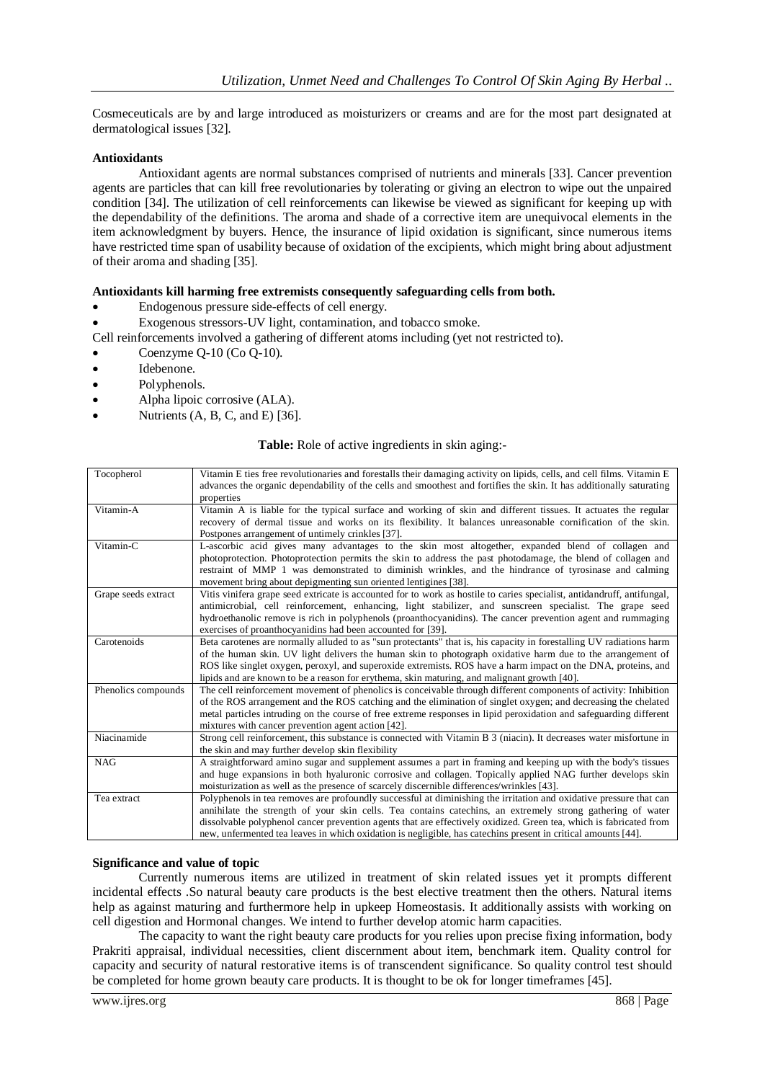Cosmeceuticals are by and large introduced as moisturizers or creams and are for the most part designated at dermatological issues [32].

## **Antioxidants**

Antioxidant agents are normal substances comprised of nutrients and minerals [33]. Cancer prevention agents are particles that can kill free revolutionaries by tolerating or giving an electron to wipe out the unpaired condition [34]. The utilization of cell reinforcements can likewise be viewed as significant for keeping up with the dependability of the definitions. The aroma and shade of a corrective item are unequivocal elements in the item acknowledgment by buyers. Hence, the insurance of lipid oxidation is significant, since numerous items have restricted time span of usability because of oxidation of the excipients, which might bring about adjustment of their aroma and shading [35].

## **Antioxidants kill harming free extremists consequently safeguarding cells from both.**

- Endogenous pressure side-effects of cell energy.
- Exogenous stressors-UV light, contamination, and tobacco smoke.

Cell reinforcements involved a gathering of different atoms including (yet not restricted to).

- Coenzyme Q-10 (Co Q-10).
- Idebenone.
- Polyphenols.
- Alpha lipoic corrosive (ALA).
- Nutrients (A, B, C, and E) [36].

## **Table:** Role of active ingredients in skin aging:-

| Tocopherol          | Vitamin E ties free revolutionaries and forestalls their damaging activity on lipids, cells, and cell films. Vitamin E<br>advances the organic dependability of the cells and smoothest and fortifies the skin. It has additionally saturating<br>properties                                                                                                                                                                                                             |
|---------------------|--------------------------------------------------------------------------------------------------------------------------------------------------------------------------------------------------------------------------------------------------------------------------------------------------------------------------------------------------------------------------------------------------------------------------------------------------------------------------|
| Vitamin-A           | Vitamin A is liable for the typical surface and working of skin and different tissues. It actuates the regular<br>recovery of dermal tissue and works on its flexibility. It balances unreasonable cornification of the skin.<br>Postpones arrangement of untimely crinkles [37].                                                                                                                                                                                        |
| Vitamin-C           | L-ascorbic acid gives many advantages to the skin most altogether, expanded blend of collagen and<br>photoprotection. Photoprotection permits the skin to address the past photodamage, the blend of collagen and<br>restraint of MMP 1 was demonstrated to diminish wrinkles, and the hindrance of tyrosinase and calming<br>movement bring about depigmenting sun oriented lentigines [38].                                                                            |
| Grape seeds extract | Vitis vinifera grape seed extricate is accounted for to work as hostile to caries specialist, antidandruff, antifungal,<br>antimicrobial, cell reinforcement, enhancing, light stabilizer, and sunscreen specialist. The grape seed<br>hydroethanolic remove is rich in polyphenols (proanthocyanidins). The cancer prevention agent and rummaging<br>exercises of proanthocyanidins had been accounted for [39].                                                        |
| Carotenoids         | Beta carotenes are normally alluded to as "sun protectants" that is, his capacity in forestalling UV radiations harm<br>of the human skin. UV light delivers the human skin to photograph oxidative harm due to the arrangement of<br>ROS like singlet oxygen, peroxyl, and superoxide extremists. ROS have a harm impact on the DNA, proteins, and<br>lipids and are known to be a reason for erythema, skin maturing, and malignant growth [40].                       |
| Phenolics compounds | The cell reinforcement movement of phenolics is conceivable through different components of activity: Inhibition<br>of the ROS arrangement and the ROS catching and the elimination of singlet oxygen; and decreasing the chelated<br>metal particles intruding on the course of free extreme responses in lipid peroxidation and safeguarding different<br>mixtures with cancer prevention agent action [42].                                                           |
| Niacinamide         | Strong cell reinforcement, this substance is connected with Vitamin B 3 (niacin). It decreases water misfortune in<br>the skin and may further develop skin flexibility                                                                                                                                                                                                                                                                                                  |
| <b>NAG</b>          | A straightforward amino sugar and supplement assumes a part in framing and keeping up with the body's tissues<br>and huge expansions in both hyaluronic corrosive and collagen. Topically applied NAG further develops skin<br>moisturization as well as the presence of scarcely discernible differences/wrinkles [43].                                                                                                                                                 |
| Tea extract         | Polyphenols in tea removes are profoundly successful at diminishing the irritation and oxidative pressure that can<br>annihilate the strength of your skin cells. Tea contains catechins, an extremely strong gathering of water<br>dissolvable polyphenol cancer prevention agents that are effectively oxidized. Green tea, which is fabricated from<br>new, unfermented tea leaves in which oxidation is negligible, has cate chins present in critical amounts [44]. |

#### **Significance and value of topic**

Currently numerous items are utilized in treatment of skin related issues yet it prompts different incidental effects .So natural beauty care products is the best elective treatment then the others. Natural items help as against maturing and furthermore help in upkeep Homeostasis. It additionally assists with working on cell digestion and Hormonal changes. We intend to further develop atomic harm capacities.

The capacity to want the right beauty care products for you relies upon precise fixing information, body Prakriti appraisal, individual necessities, client discernment about item, benchmark item. Quality control for capacity and security of natural restorative items is of transcendent significance. So quality control test should be completed for home grown beauty care products. It is thought to be ok for longer timeframes [45].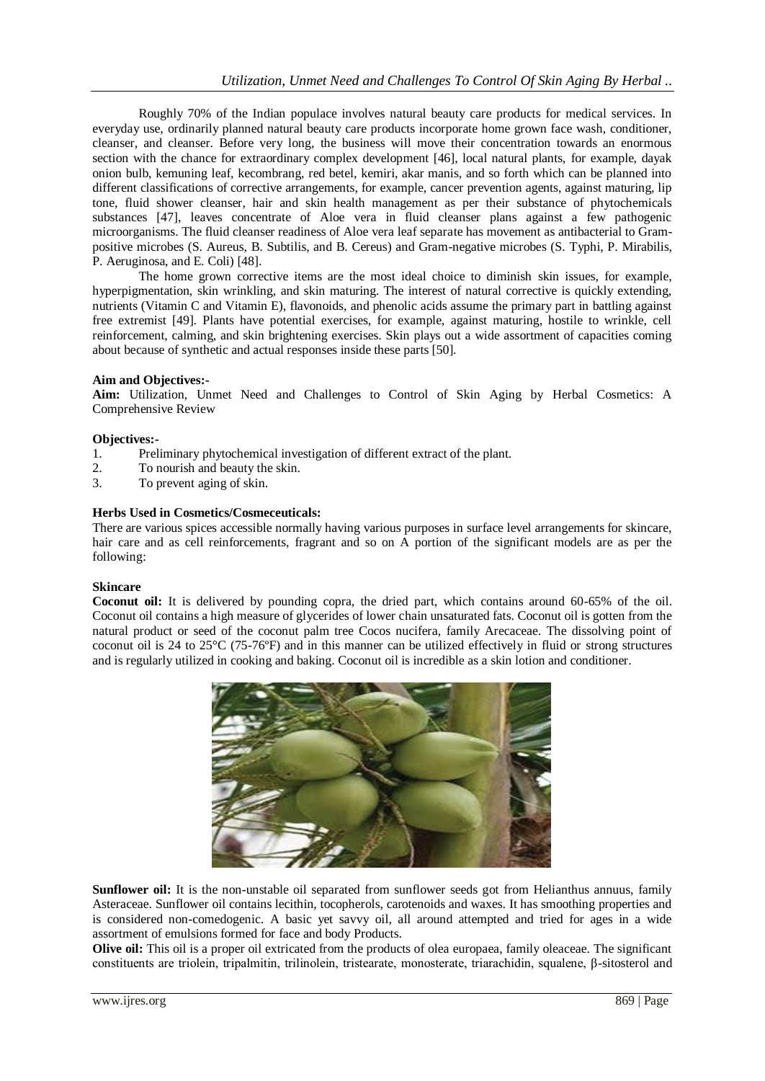Roughly 70% of the Indian populace involves natural beauty care products for medical services. In everyday use, ordinarily planned natural beauty care products incorporate home grown face wash, conditioner, cleanser, and cleanser. Before very long, the business will move their concentration towards an enormous section with the chance for extraordinary complex development [46], local natural plants, for example, dayak onion bulb, kemuning leaf, kecombrang, red betel, kemiri, akar manis, and so forth which can be planned into different classifications of corrective arrangements, for example, cancer prevention agents, against maturing, lip tone, fluid shower cleanser, hair and skin health management as per their substance of phytochemicals substances [47], leaves concentrate of Aloe vera in fluid cleanser plans against a few pathogenic microorganisms. The fluid cleanser readiness of Aloe vera leaf separate has movement as antibacterial to Grampositive microbes (S. Aureus, B. Subtilis, and B. Cereus) and Gram-negative microbes (S. Typhi, P. Mirabilis, P. Aeruginosa, and E. Coli) [48].

The home grown corrective items are the most ideal choice to diminish skin issues, for example, hyperpigmentation, skin wrinkling, and skin maturing. The interest of natural corrective is quickly extending, nutrients (Vitamin C and Vitamin E), flavonoids, and phenolic acids assume the primary part in battling against free extremist [49]. Plants have potential exercises, for example, against maturing, hostile to wrinkle, cell reinforcement, calming, and skin brightening exercises. Skin plays out a wide assortment of capacities coming about because of synthetic and actual responses inside these parts [50].

## **Aim and Objectives:-**

**Aim:** Utilization, Unmet Need and Challenges to Control of Skin Aging by Herbal Cosmetics: A Comprehensive Review

## **Objectives:-**

- 1. Preliminary phytochemical investigation of different extract of the plant.
- 2. To nourish and beauty the skin.
- 3. To prevent aging of skin.

## **Herbs Used in Cosmetics/Cosmeceuticals:**

There are various spices accessible normally having various purposes in surface level arrangements for skincare, hair care and as cell reinforcements, fragrant and so on A portion of the significant models are as per the following:

## **Skincare**

**Coconut oil:** It is delivered by pounding copra, the dried part, which contains around 60-65% of the oil. Coconut oil contains a high measure of glycerides of lower chain unsaturated fats. Coconut oil is gotten from the natural product or seed of the coconut palm tree Cocos nucifera, family Arecaceae. The dissolving point of coconut oil is 24 to 25°C (75-76ºF) and in this manner can be utilized effectively in fluid or strong structures and is regularly utilized in cooking and baking. Coconut oil is incredible as a skin lotion and conditioner.



**Sunflower oil:** It is the non-unstable oil separated from sunflower seeds got from Helianthus annuus, family Asteraceae. Sunflower oil contains lecithin, tocopherols, carotenoids and waxes. It has smoothing properties and is considered non-comedogenic. A basic yet savvy oil, all around attempted and tried for ages in a wide assortment of emulsions formed for face and body Products.

**Olive oil:** This oil is a proper oil extricated from the products of olea europaea, family oleaceae. The significant constituents are triolein, tripalmitin, trilinolein, tristearate, monosterate, triarachidin, squalene, β-sitosterol and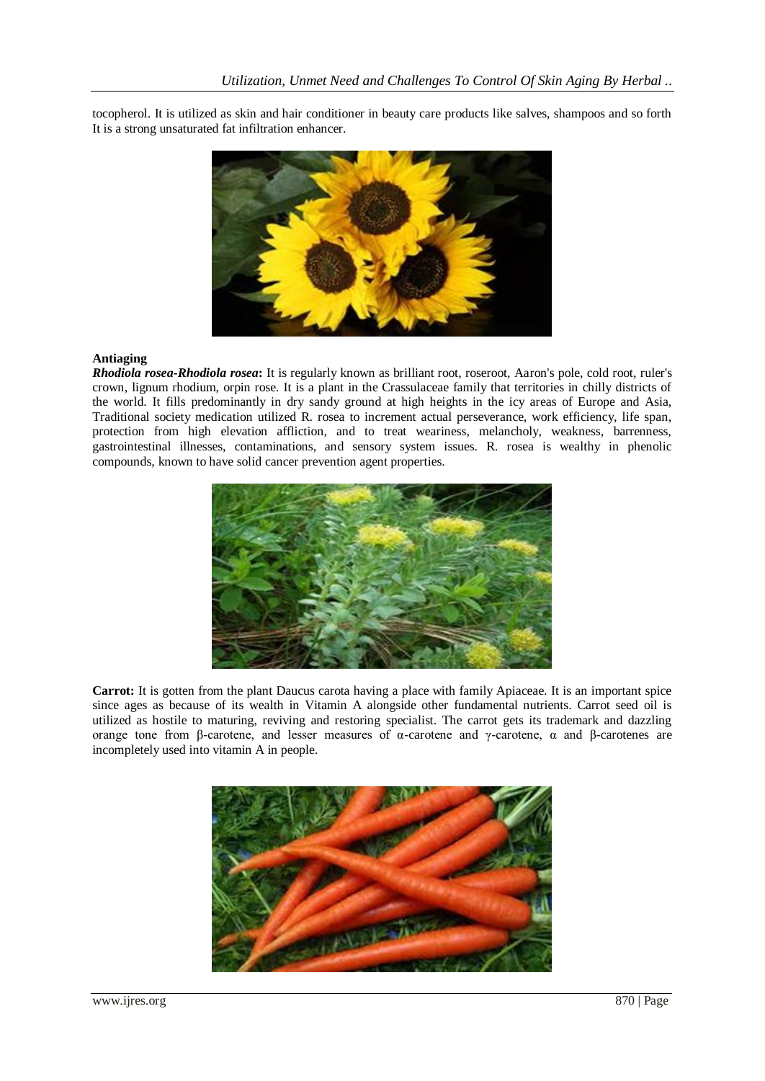tocopherol. It is utilized as skin and hair conditioner in beauty care products like salves, shampoos and so forth It is a strong unsaturated fat infiltration enhancer.



#### **Antiaging**

*Rhodiola rosea-Rhodiola rosea***:** It is regularly known as brilliant root, roseroot, Aaron's pole, cold root, ruler's crown, lignum rhodium, orpin rose. It is a plant in the Crassulaceae family that territories in chilly districts of the world. It fills predominantly in dry sandy ground at high heights in the icy areas of Europe and Asia, Traditional society medication utilized R. rosea to increment actual perseverance, work efficiency, life span, protection from high elevation affliction, and to treat weariness, melancholy, weakness, barrenness, gastrointestinal illnesses, contaminations, and sensory system issues. R. rosea is wealthy in phenolic compounds, known to have solid cancer prevention agent properties.



**Carrot:** It is gotten from the plant Daucus carota having a place with family Apiaceae. It is an important spice since ages as because of its wealth in Vitamin A alongside other fundamental nutrients. Carrot seed oil is utilized as hostile to maturing, reviving and restoring specialist. The carrot gets its trademark and dazzling orange tone from β-carotene, and lesser measures of  $\alpha$ -carotene and γ-carotene,  $\alpha$  and β-carotenes are incompletely used into vitamin A in people.

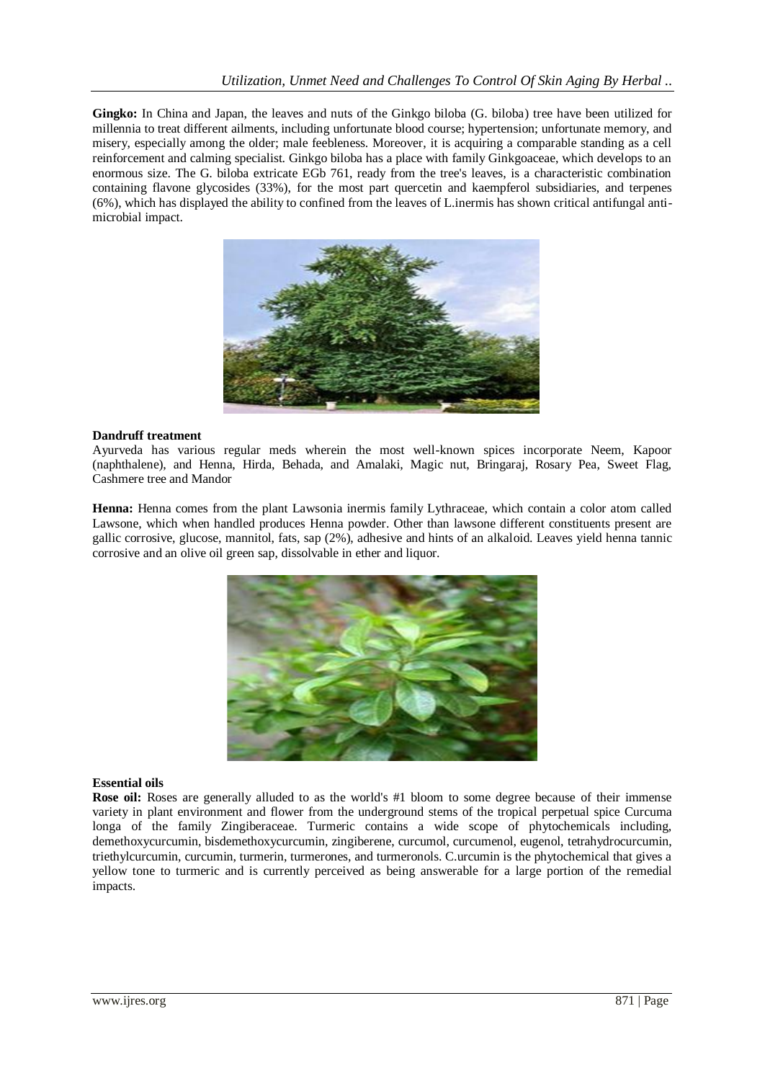**Gingko:** In China and Japan, the leaves and nuts of the Ginkgo biloba (G. biloba) tree have been utilized for millennia to treat different ailments, including unfortunate blood course; hypertension; unfortunate memory, and misery, especially among the older; male feebleness. Moreover, it is acquiring a comparable standing as a cell reinforcement and calming specialist. Ginkgo biloba has a place with family Ginkgoaceae, which develops to an enormous size. The G. biloba extricate EGb 761, ready from the tree's leaves, is a characteristic combination containing flavone glycosides (33%), for the most part quercetin and kaempferol subsidiaries, and terpenes (6%), which has displayed the ability to confined from the leaves of L.inermis has shown critical antifungal antimicrobial impact.



## **Dandruff treatment**

Ayurveda has various regular meds wherein the most well-known spices incorporate Neem, Kapoor (naphthalene), and Henna, Hirda, Behada, and Amalaki, Magic nut, Bringaraj, Rosary Pea, Sweet Flag, Cashmere tree and Mandor

**Henna:** Henna comes from the plant Lawsonia inermis family Lythraceae, which contain a color atom called Lawsone, which when handled produces Henna powder. Other than lawsone different constituents present are gallic corrosive, glucose, mannitol, fats, sap (2%), adhesive and hints of an alkaloid. Leaves yield henna tannic corrosive and an olive oil green sap, dissolvable in ether and liquor.



## **Essential oils**

**Rose oil:** Roses are generally alluded to as the world's #1 bloom to some degree because of their immense variety in plant environment and flower from the underground stems of the tropical perpetual spice Curcuma longa of the family Zingiberaceae. Turmeric contains a wide scope of phytochemicals including, demethoxycurcumin, bisdemethoxycurcumin, zingiberene, curcumol, curcumenol, eugenol, tetrahydrocurcumin, triethylcurcumin, curcumin, turmerin, turmerones, and turmeronols. C.urcumin is the phytochemical that gives a yellow tone to turmeric and is currently perceived as being answerable for a large portion of the remedial impacts.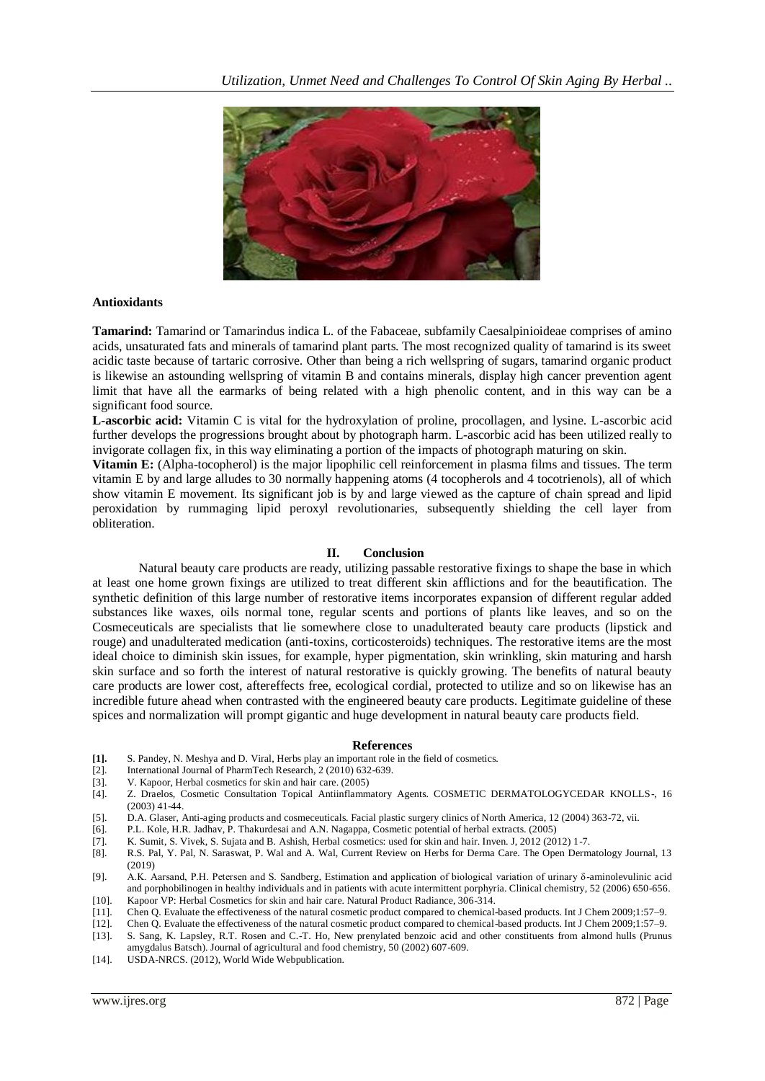

### **Antioxidants**

**Tamarind:** Tamarind or Tamarindus indica L. of the Fabaceae, subfamily Caesalpinioideae comprises of amino acids, unsaturated fats and minerals of tamarind plant parts. The most recognized quality of tamarind is its sweet acidic taste because of tartaric corrosive. Other than being a rich wellspring of sugars, tamarind organic product is likewise an astounding wellspring of vitamin B and contains minerals, display high cancer prevention agent limit that have all the earmarks of being related with a high phenolic content, and in this way can be a significant food source.

**L-ascorbic acid:** Vitamin C is vital for the hydroxylation of proline, procollagen, and lysine. L-ascorbic acid further develops the progressions brought about by photograph harm. L-ascorbic acid has been utilized really to invigorate collagen fix, in this way eliminating a portion of the impacts of photograph maturing on skin.

**Vitamin E:** (Alpha-tocopherol) is the major lipophilic cell reinforcement in plasma films and tissues. The term vitamin E by and large alludes to 30 normally happening atoms (4 tocopherols and 4 tocotrienols), all of which show vitamin E movement. Its significant job is by and large viewed as the capture of chain spread and lipid peroxidation by rummaging lipid peroxyl revolutionaries, subsequently shielding the cell layer from obliteration.

## **II. Conclusion**

Natural beauty care products are ready, utilizing passable restorative fixings to shape the base in which at least one home grown fixings are utilized to treat different skin afflictions and for the beautification. The synthetic definition of this large number of restorative items incorporates expansion of different regular added substances like waxes, oils normal tone, regular scents and portions of plants like leaves, and so on the Cosmeceuticals are specialists that lie somewhere close to unadulterated beauty care products (lipstick and rouge) and unadulterated medication (anti-toxins, corticosteroids) techniques. The restorative items are the most ideal choice to diminish skin issues, for example, hyper pigmentation, skin wrinkling, skin maturing and harsh skin surface and so forth the interest of natural restorative is quickly growing. The benefits of natural beauty care products are lower cost, aftereffects free, ecological cordial, protected to utilize and so on likewise has an incredible future ahead when contrasted with the engineered beauty care products. Legitimate guideline of these spices and normalization will prompt gigantic and huge development in natural beauty care products field.

#### **References**

- **[1].** S. Pandey, N. Meshya and D. Viral, Herbs play an important role in the field of cosmetics.
- [2]. International Journal of PharmTech Research, 2 (2010) 632-639.<br>[3]. V. Kapoor, Herbal cosmetics for skin and hair care. (2005)
- V. Kapoor, Herbal cosmetics for skin and hair care. (2005)
- [4]. Z. Draelos, Cosmetic Consultation Topical Antiinflammatory Agents. COSMETIC DERMATOLOGYCEDAR KNOLLS-, 16 (2003) 41-44.
- [5]. D.A. Glaser, Anti-aging products and cosmeceuticals. Facial plastic surgery clinics of North America, 12 (2004) 363-72, vii.
- [6]. P.L. Kole, H.R. Jadhav, P. Thakurdesai and A.N. Nagappa, Cosmetic potential of herbal extracts. (2005)
- [7]. K. Sumit, S. Vivek, S. Sujata and B. Ashish, Herbal cosmetics: used for skin and hair. Inven. J, 2012 (2012) 1-7.
- [8]. R.S. Pal, Y. Pal, N. Saraswat, P. Wal and A. Wal, Current Review on Herbs for Derma Care. The Open Dermatology Journal, 13 (2019)
- [9]. A.K. Aarsand, P.H. Petersen and S. Sandberg, Estimation and application of biological variation of urinary δ-aminolevulinic acid and porphobilinogen in healthy individuals and in patients with acute intermittent porphyria. Clinical chemistry, 52 (2006) 650-656.
- [10]. Kapoor VP: Herbal Cosmetics for skin and hair care. Natural Product Radiance, 306-314. [11]. Chen Q. Evaluate the effectiveness of the natural cosmetic product compared to chemical
- [11]. Chen Q. Evaluate the effectiveness of the natural cosmetic product compared to chemical-based products. Int J Chem 2009;1:57–9. [12]. Chen Q. Evaluate the effectiveness of the natural cosmetic product compared to chemical-based products. Int J Chem 2009;1:57–9.
- [13]. S. Sang, K. Lapsley, R.T. Rosen and C.-T. Ho, New prenylated benzoic acid and other constituents from almond hulls (Prunus amygdalus Batsch). Journal of agricultural and food chemistry, 50 (2002) 607-609.
- [14]. USDA-NRCS. (2012), World Wide Webpublication.